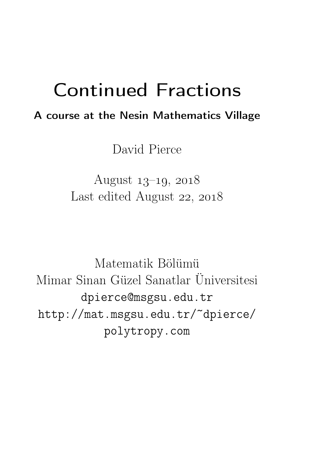# Continued Fractions

# A course at the Nesin Mathematics Village

David Pierce

August  $13-19$ ,  $2018$ Last edited August 22, 2018

Matematik Bölümü Mimar Sinan Güzel Sanatlar Üniversitesi dpierce@msgsu.edu.tr http://mat.msgsu.edu.tr/~dpierce/ polytropy.com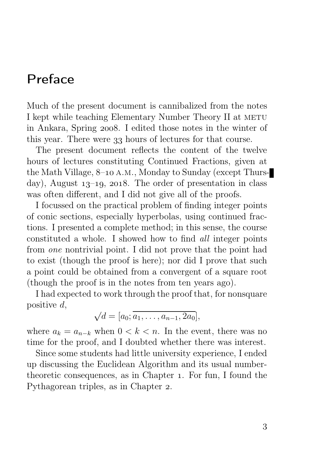# Preface

Much of the present document is cannibalized from the notes I kept while teaching Elementary Number Theory II at METU in Ankara, Spring 2008. I edited those notes in the winter of this year. There were 33 hours of lectures for that course.

The present document reflects the content of the twelve hours of lectures constituting Continued Fractions, given at the Math Village,  $8$ –10 A.M., Monday to Sunday (except Thursday), August  $13-19$ , 2018. The order of presentation in class was often different, and I did not give all of the proofs.

I focussed on the practical problem of finding integer points of conic sections, especially hyperbolas, using continued fractions. I presented a complete method; in this sense, the course constituted a whole. I showed how to find all integer points from one nontrivial point. I did not prove that the point had to exist (though the proof is here); nor did I prove that such a point could be obtained from a convergent of a square root (though the proof is in the notes from ten years ago).

I had expected to work through the proof that, for nonsquare positive  $d$ ,

$$
\sqrt{d} = [a_0; \overline{a_1, \ldots, a_{n-1}, 2a_0}],
$$

where  $a_k = a_{n-k}$  when  $0 < k < n$ . In the event, there was no time for the proof, and I doubted whether there was interest.

Since some students had little university experience, I ended up discussing the Euclidean Algorithm and its usual numbertheoretic consequences, as in Chapter 1. For fun, I found the Pythagorean triples, as in Chapter 2.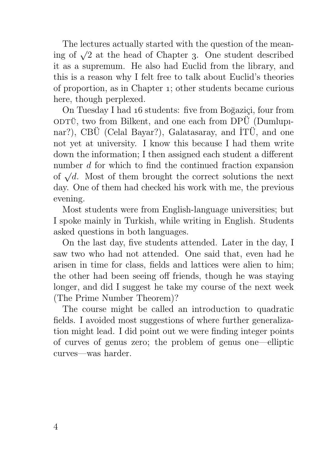The lectures actually started with the question of the meaning of  $\sqrt{2}$  at the head of Chapter 3. One student described it as a supremum. He also had Euclid from the library, and this is a reason why I felt free to talk about Euclid's theories of proportion, as in Chapter ; other students became curious here, though perplexed.

On Tuesday I had 16 students: five from Boğaziçi, four from  $\overrightarrow{ODTU}$ , two from Bilkent, and one each from  $\overrightarrow{DPU}$  (Dumlupnar?), CBÜ (Celal Bayar?), Galatasaray, and İTÜ, and one not yet at university. I know this because I had them write down the information; I then assigned each student a different number d for which to find the continued fraction expansion of  $\sqrt{d}$ . Most of them brought the correct solutions the next day. One of them had checked his work with me, the previous evening.

Most students were from English-language universities; but I spoke mainly in Turkish, while writing in English. Students asked questions in both languages.

On the last day, five students attended. Later in the day, I saw two who had not attended. One said that, even had he arisen in time for class, fields and lattices were alien to him; the other had been seeing off friends, though he was staying longer, and did I suggest he take my course of the next week (The Prime Number Theorem)?

The course might be called an introduction to quadratic fields. I avoided most suggestions of where further generalization might lead. I did point out we were finding integer points of curves of genus zero; the problem of genus one—elliptic curves—was harder.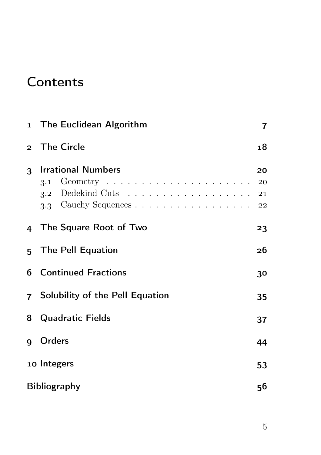# **Contents**

|              | 1 The Euclidean Algorithm                                                                                                                      |                |  |  |  |
|--------------|------------------------------------------------------------------------------------------------------------------------------------------------|----------------|--|--|--|
|              | 2 The Circle                                                                                                                                   | 18             |  |  |  |
| $\mathbf{3}$ | <b>Irrational Numbers</b><br>Geometry $\dots \dots \dots \dots \dots \dots \dots \dots$<br>3.1<br>3.2 Dedekind Cuts 21<br>3.3 Cauchy Sequences | 20<br>20<br>22 |  |  |  |
|              | 4 The Square Root of Two                                                                                                                       | 23             |  |  |  |
|              | 5 The Pell Equation                                                                                                                            |                |  |  |  |
|              | <b>6</b> Continued Fractions                                                                                                                   |                |  |  |  |
|              | 7 Solubility of the Pell Equation                                                                                                              |                |  |  |  |
| 8            | <b>Quadratic Fields</b>                                                                                                                        |                |  |  |  |
| q            | Orders                                                                                                                                         | 44             |  |  |  |
|              | 10 Integers                                                                                                                                    | 53             |  |  |  |
|              | <b>Bibliography</b><br>56                                                                                                                      |                |  |  |  |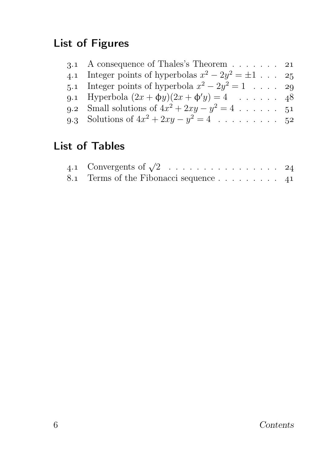# List of Figures

| 3.1 A consequence of Thales's Theorem $\ldots$ 21        |  |
|----------------------------------------------------------|--|
| 4.1 Integer points of hyperbolas $x^2 - 2y^2 = \pm 1$ 25 |  |
| 5.1 Integer points of hyperbola $x^2 - 2y^2 = 1$ 29      |  |
| 9.1 Hyperbola $(2x + \phi y)(2x + \phi' y) = 4$ 48       |  |
| 9.2 Small solutions of $4x^2 + 2xy - y^2 = 4$ 51         |  |
| 9.3 Solutions of $4x^2 + 2xy - y^2 = 4$ 52               |  |
|                                                          |  |

# List of Tables

| 4.1 Convergents of $\sqrt{2}$ 24       |  |
|----------------------------------------|--|
| 8.1 Terms of the Fibonacci sequence 41 |  |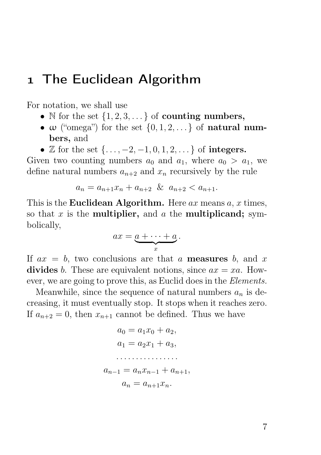# The Euclidean Algorithm

For notation, we shall use

- N for the set  $\{1, 2, 3, \ldots\}$  of **counting numbers,**
- $\omega$  ("omega") for the set  $\{0, 1, 2, \ldots\}$  of **natural num**bers, and
- Z for the set  $\{\ldots, -2, -1, 0, 1, 2, \ldots\}$  of **integers.**

Given two counting numbers  $a_0$  and  $a_1$ , where  $a_0 > a_1$ , we define natural numbers  $a_{n+2}$  and  $x_n$  recursively by the rule

$$
a_n = a_{n+1}x_n + a_{n+2} \& a_{n+2} < a_{n+1}.
$$

This is the **Euclidean Algorithm.** Here  $ax$  means  $a, x$  times, so that x is the **multiplier**, and a the **multiplicand**; symbolically,

$$
ax = \underbrace{a + \cdots + a}_{x}.
$$

If  $ax = b$ , two conclusions are that a **measures** b, and x divides b. These are equivalent notions, since  $ax = xa$ . However, we are going to prove this, as Euclid does in the Elements.

Meanwhile, since the sequence of natural numbers  $a_n$  is decreasing, it must eventually stop. It stops when it reaches zero. If  $a_{n+2} = 0$ , then  $x_{n+1}$  cannot be defined. Thus we have

$$
a_0 = a_1 x_0 + a_2,
$$
  
\n
$$
a_1 = a_2 x_1 + a_3,
$$
  
\n
$$
\dots
$$
  
\n
$$
a_{n-1} = a_n x_{n-1} + a_{n+1},
$$
  
\n
$$
a_n = a_{n+1} x_n.
$$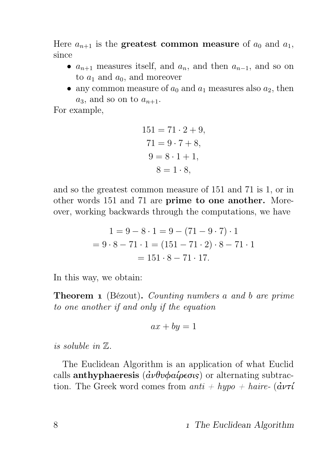Here  $a_{n+1}$  is the greatest common measure of  $a_0$  and  $a_1$ , since

- $a_{n+1}$  measures itself, and  $a_n$ , and then  $a_{n-1}$ , and so on to  $a_1$  and  $a_0$ , and moreover
- any common measure of  $a_0$  and  $a_1$  measures also  $a_2$ , then  $a_3$ , and so on to  $a_{n+1}$ .

For example,

$$
151 = 71 \cdot 2 + 9,
$$
  
\n
$$
71 = 9 \cdot 7 + 8,
$$
  
\n
$$
9 = 8 \cdot 1 + 1,
$$
  
\n
$$
8 = 1 \cdot 8,
$$

and so the greatest common measure of 151 and 71 is 1, or in other words 151 and 71 are prime to one another. Moreover, working backwards through the computations, we have

$$
1 = 9 - 8 \cdot 1 = 9 - (71 - 9 \cdot 7) \cdot 1
$$

$$
= 9 \cdot 8 - 71 \cdot 1 = (151 - 71 \cdot 2) \cdot 8 - 71 \cdot 1
$$

$$
= 151 \cdot 8 - 71 \cdot 17.
$$

In this way, we obtain:

**Theorem 1** (Bézout). Counting numbers a and b are prime to one another if and only if the equation

$$
ax + by = 1
$$

is soluble in Z.

The Euclidean Algorithm is an application of what Euclid calls **anthyphaeresis** ( $\vec{a} \nu \theta \nu \phi \alpha \omega \rho \epsilon \sigma \psi$ ) or alternating subtraction. The Greek word comes from anti + hypo + haire-  $(\mathbf{d}v\tau\mathbf{d})$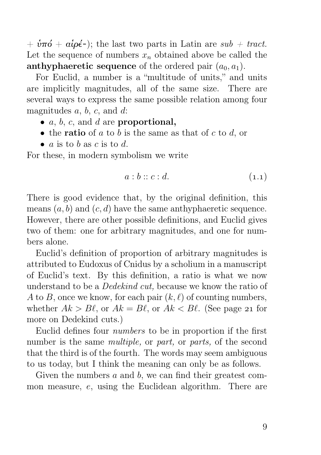$+ \dot{v}\pi\acute{o} + \alpha\acute{i}\rho\acute{\epsilon}$ -); the last two parts in Latin are sub  $+$  tract. Let the sequence of numbers  $x_n$  obtained above be called the anthyphaeretic sequence of the ordered pair  $(a_0, a_1)$ .

For Euclid, a number is a "multitude of units," and units are implicitly magnitudes, all of the same size. There are several ways to express the same possible relation among four magnitudes  $a, b, c$ , and  $d$ :

- $a, b, c,$  and  $d$  are proportional,
- the **ratio** of a to b is the same as that of c to d, or
- $a$  is to  $b$  as  $c$  is to  $d$ .

For these, in modern symbolism we write

$$
a:b::c:d.\tag{1.1}
$$

There is good evidence that, by the original definition, this means  $(a, b)$  and  $(c, d)$  have the same anthyphaeretic sequence. However, there are other possible definitions, and Euclid gives two of them: one for arbitrary magnitudes, and one for numbers alone.

Euclid's definition of proportion of arbitrary magnitudes is attributed to Eudoxus of Cnidus by a scholium in a manuscript of Euclid's text. By this definition, a ratio is what we now understand to be a *Dedekind cut*, because we know the ratio of A to B, once we know, for each pair  $(k, \ell)$  of counting numbers, whether  $Ak > B\ell$ , or  $Ak = B\ell$ , or  $Ak < B\ell$ . (See page 21 for more on Dedekind cuts.)

Euclid defines four numbers to be in proportion if the first number is the same *multiple*, or *part*, or *parts*, of the second that the third is of the fourth. The words may seem ambiguous to us today, but I think the meaning can only be as follows.

Given the numbers a and b, we can find their greatest common measure, e, using the Euclidean algorithm. There are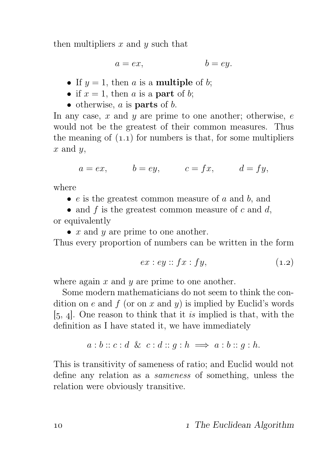then multipliers  $x$  and  $y$  such that

$$
a = ex, \qquad \qquad b = ey.
$$

- If  $y = 1$ , then a is a **multiple** of b;
- if  $x = 1$ , then a is a **part** of b;
- otherwise,  $a$  is **parts** of  $b$ .

In any case,  $x$  and  $y$  are prime to one another; otherwise,  $e$ would not be the greatest of their common measures. Thus the meaning of  $(1.1)$  for numbers is that, for some multipliers  $x$  and  $y$ ,

$$
a = ex, \qquad b = ey, \qquad c = fx, \qquad d = fy,
$$

where

 $\bullet$  e is the greatest common measure of a and b, and

• and f is the greatest common measure of c and  $d$ , or equivalently

•  $x$  and  $y$  are prime to one another.

Thus every proportion of numbers can be written in the form

$$
ex:ey::fx:fy,
$$
\n
$$
(1.2)
$$

where again  $x$  and  $y$  are prime to one another.

Some modern mathematicians do not seem to think the condition on e and f (or on x and y) is implied by Euclid's words  $[5, 4]$ . One reason to think that it is implied is that, with the definition as I have stated it, we have immediately

$$
a:b::c:d \& c:d::g:h \Longrightarrow a:b::g:h.
$$

This is transitivity of sameness of ratio; and Euclid would not define any relation as a sameness of something, unless the relation were obviously transitive.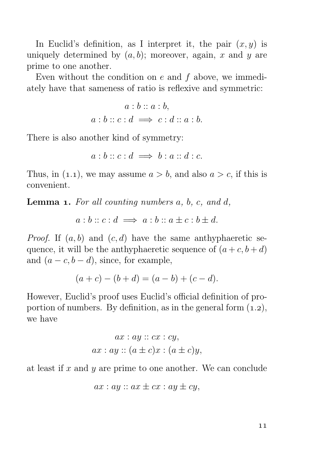In Euclid's definition, as I interpret it, the pair  $(x, y)$  is uniquely determined by  $(a, b)$ ; moreover, again, x and y are prime to one another.

Even without the condition on  $e$  and  $f$  above, we immediately have that sameness of ratio is reflexive and symmetric:

$$
a:b::a:b,a:b::c:d \Longrightarrow c:d::a:b.
$$

There is also another kind of symmetry:

$$
a:b::c:d \implies b:a::d:c.
$$

Thus, in (1.1), we may assume  $a > b$ , and also  $a > c$ , if this is convenient.

**Lemma 1.** For all counting numbers  $a, b, c, and d$ ,

 $a:b::c:d \implies a:b::a \pm c:b \pm d.$ 

*Proof.* If  $(a, b)$  and  $(c, d)$  have the same anthyphaeretic sequence, it will be the anthyphaeretic sequence of  $(a + c, b + d)$ and  $(a - c, b - d)$ , since, for example,

$$
(a + c) - (b + d) = (a - b) + (c - d).
$$

However, Euclid's proof uses Euclid's official definition of proportion of numbers. By definition, as in the general form  $(1.2)$ , we have

$$
ax: ay :: cx : cy,
$$
  

$$
ax: ay :: (a \pm c)x : (a \pm c)y,
$$

at least if x and y are prime to one another. We can conclude

$$
ax: ay::ax \pm cx: ay \pm cy,
$$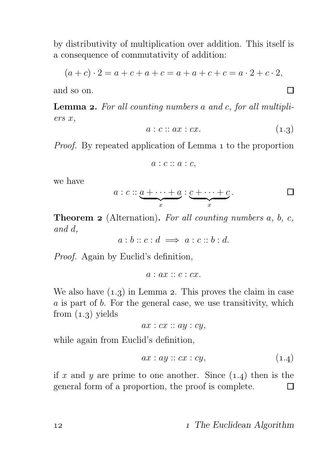by distributivity of multiplication over addition. This itself is a consequence of commutativity of addition:

$$
(a + c) \cdot 2 = a + c + a + c = a + a + c + c = a \cdot 2 + c \cdot 2,
$$

and so on.

**Lemma 2.** For all counting numbers a and c, for all multipliers x,

$$
a:c::ax:cx.
$$
 (1.3)

 $\Box$ 

Proof. By repeated application of Lemma 1 to the proportion

$$
a:c::a:c,
$$

we have

$$
a: c:: \underbrace{a + \cdots + a}_{x}:\underbrace{c + \cdots + c}_{x}.
$$

**Theorem 2** (Alternation). For all counting numbers  $a, b, c$ , and d,

$$
a:b::c:d \implies a:c::b:d.
$$

Proof. Again by Euclid's definition,

$$
a: ax :: c : cx.
$$

We also have  $(1.3)$  in Lemma 2. This proves the claim in case a is part of b. For the general case, we use transitivity, which from  $(1.3)$  yields

$$
ax: cx :: ay : cy,
$$

while again from Euclid's definition,

$$
ax: ay::cx:cy,
$$
\n
$$
(1.4)
$$

if x and y are prime to one another. Since  $(1.4)$  then is the general form of a proportion, the proof is complete. П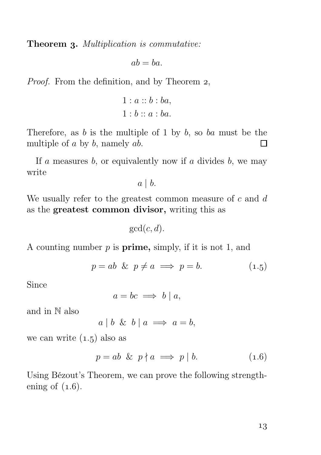Theorem 3. Multiplication is commutative:

$$
ab = ba.
$$

*Proof.* From the definition, and by Theorem 2,

$$
1: a::b:ba,
$$
  

$$
1:b::a:ba.
$$

Therefore, as  $b$  is the multiple of 1 by  $b$ , so  $ba$  must be the multiple of  $a$  by  $b$ , namely  $ab$ . П

If a measures  $b$ , or equivalently now if a divides  $b$ , we may write

 $a \mid b$ .

We usually refer to the greatest common measure of  $c$  and  $d$ as the greatest common divisor, writing this as

 $gcd(c, d)$ .

A counting number  $p$  is **prime**, simply, if it is not 1, and

$$
p = ab \& p \neq a \implies p = b. \tag{1.5}
$$

Since

$$
a = bc \implies b \mid a,
$$

and in N also

 $a \mid b \And b \mid a \implies a = b,$ 

we can write  $(1.5)$  also as

$$
p = ab \& p \nmid a \implies p \mid b. \tag{1.6}
$$

Using Bézout's Theorem, we can prove the following strengthening of  $(1.6)$ .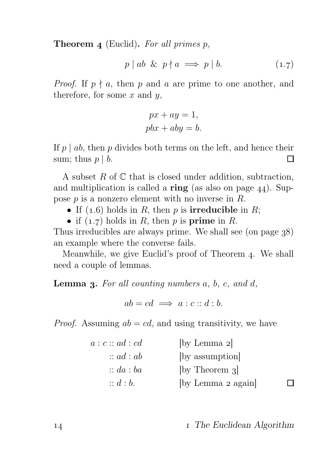**Theorem 4** (Euclid). For all primes  $p$ ,

$$
p \mid ab \And p \nmid a \implies p \mid b. \tag{1.7}
$$

*Proof.* If  $p \nmid a$ , then p and a are prime to one another, and therefore, for some  $x$  and  $y$ ,

$$
px + ay = 1,
$$
  

$$
pbx + aby = b.
$$

If p | ab, then p divides both terms on the left, and hence their<br>sum: thus  $n \mid b$ sum; thus  $p \mid b$ .

A subset  $R$  of  $\mathbb C$  that is closed under addition, subtraction, and multiplication is called a **ring** (as also on page  $44$ ). Suppose p is a nonzero element with no inverse in R.

- If  $(1.6)$  holds in R, then p is **irreducible** in R;
- if  $(1.7)$  holds in R, then p is prime in R.

Thus irreducibles are always prime. We shall see (on page  $38$ ) an example where the converse fails.

Meanwhile, we give Euclid's proof of Theorem 4. We shall need a couple of lemmas.

**Lemma 3.** For all counting numbers  $a, b, c, and d$ ,

 $ab = cd \implies a : c :: d : b$ .

*Proof.* Assuming  $ab = cd$ , and using transitivity, we have

| a:c::ad:cd           | [by Lemma 2]       |  |
|----------------------|--------------------|--|
| $\therefore ad:ab$   | (by assumption)    |  |
| $\therefore$ da : ba | [by Theorem 3]     |  |
| $\therefore d:b.$    | [by Lemma 2 again] |  |

14 14 15 17he Euclidean Algorithm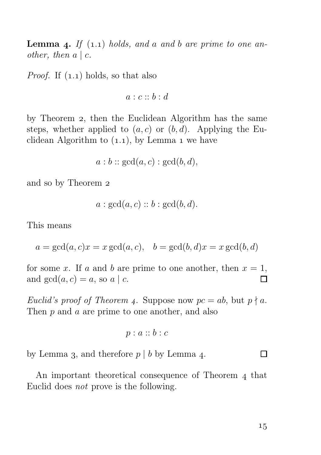**Lemma 4.** If  $(1.1)$  holds, and a and b are prime to one another, then  $a \mid c$ .

*Proof.* If  $(1.1)$  holds, so that also

$$
a:c::b:d
$$

by Theorem 2, then the Euclidean Algorithm has the same steps, whether applied to  $(a, c)$  or  $(b, d)$ . Applying the Euclidean Algorithm to  $(1.1)$ , by Lemma 1 we have

$$
a:b::\gcd(a,c):\gcd(b,d),
$$

and so by Theorem

$$
a: \gcd(a, c) :: b: \gcd(b, d).
$$

This means

$$
a = \gcd(a, c)x = x \gcd(a, c), \quad b = \gcd(b, d)x = x \gcd(b, d)
$$

for some x. If a and b are prime to one another, then  $x = 1$ , and  $gcd(a, c) = a$ , so a | c.  $\Box$ 

Euclid's proof of Theorem 4. Suppose now  $pc = ab$ , but  $p \nmid a$ . Then p and a are prime to one another, and also

$$
p:a::b:c
$$

by Lemma 3, and therefore  $p \mid b$  by Lemma 4.

An important theoretical consequence of Theorem 4 that Euclid does not prove is the following.

 $\Box$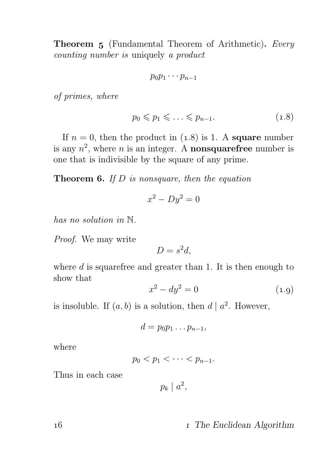Theorem 5 (Fundamental Theorem of Arithmetic). Every counting number is uniquely a product

$$
p_0p_1\cdots p_{n-1}
$$

of primes, where

$$
p_0 \leqslant p_1 \leqslant \ldots \leqslant p_{n-1}.\tag{1.8}
$$

If  $n = 0$ , then the product in  $(1.8)$  is 1. A square number is any  $n^2$ , where n is an integer. A **nonsquarefree** number is one that is indivisible by the square of any prime.

**Theorem 6.** If  $D$  is nonsquare, then the equation

$$
x^2 - Dy^2 = 0
$$

has no solution in N.

Proof. We may write

$$
D = s^2 d,
$$

where  $d$  is squarefree and greater than 1. It is then enough to show that

$$
x^2 - dy^2 = 0 \tag{1.9}
$$

is insoluble. If  $(a, b)$  is a solution, then  $d | a^2$ . However,

$$
d=p_0p_1\ldots p_{n-1},
$$

where

$$
p_0
$$

Thus in each case

 $p_k \mid a^2$ ,

#### 16 16 1 The Euclidean Algorithm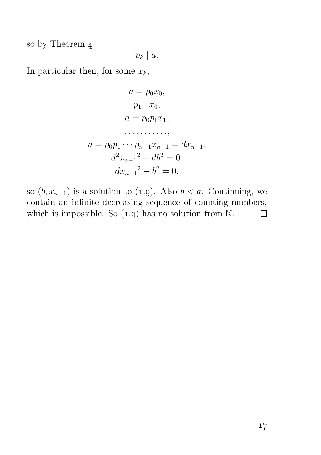so by Theorem  $4$ 

$$
p_k\mid a.
$$

In particular then, for some  $x_k$ ,

$$
a = p_0 x_0,
$$
  
\n
$$
p_1 | x_0,
$$
  
\n
$$
a = p_0 p_1 x_1,
$$
  
\n
$$
\dots \dots \dots
$$
  
\n
$$
a = p_0 p_1 \dots p_{n-1} x_{n-1} = dx_{n-1},
$$
  
\n
$$
d^2 x_{n-1}^2 - d b^2 = 0,
$$
  
\n
$$
d x_{n-1}^2 - b^2 = 0,
$$

so  $(b, x_{n-1})$  is a solution to  $(1.9)$ . Also  $b < a$ . Continuing, we contain an infinite decreasing sequence of counting numbers, which is impossible. So  $(1.9)$  has no solution from N. П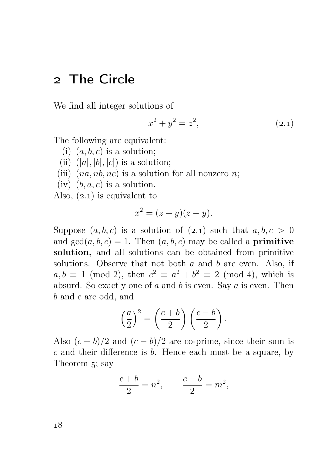# The Circle

We find all integer solutions of

$$
x^2 + y^2 = z^2, \t\t(2.1)
$$

The following are equivalent:

- (i)  $(a, b, c)$  is a solution;
- (ii)  $(|a|, |b|, |c|)$  is a solution;
- (iii)  $(na, nb, nc)$  is a solution for all nonzero *n*;
- (iv)  $(b, a, c)$  is a solution.
- Also,  $(2.1)$  is equivalent to

$$
x^2 = (z + y)(z - y).
$$

Suppose  $(a, b, c)$  is a solution of  $(2.1)$  such that  $a, b, c > 0$ and  $gcd(a, b, c) = 1$ . Then  $(a, b, c)$  may be called a **primitive** solution, and all solutions can be obtained from primitive solutions. Observe that not both  $a$  and  $b$  are even. Also, if  $a, b \equiv 1 \pmod{2}$ , then  $c^2 \equiv a^2 + b^2 \equiv 2 \pmod{4}$ , which is absurd. So exactly one of  $a$  and  $b$  is even. Say  $a$  is even. Then b and c are odd, and

$$
\left(\frac{a}{2}\right)^2 = \left(\frac{c+b}{2}\right)\left(\frac{c-b}{2}\right).
$$

Also  $(c + b)/2$  and  $(c - b)/2$  are co-prime, since their sum is  $c$  and their difference is  $b$ . Hence each must be a square, by Theorem 5; say

$$
\frac{c+b}{2} = n^2, \qquad \frac{c-b}{2} = m^2,
$$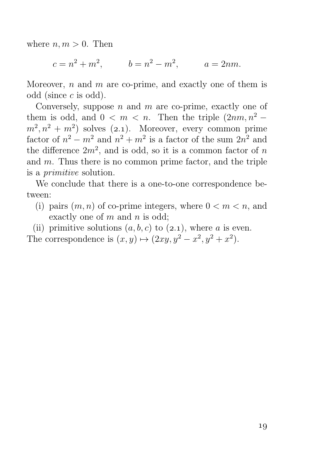where  $n, m > 0$ . Then

 $c = n^2 + m^2$ ,  $b = n^2 - m^2$ ,  $a = 2nm$ .

Moreover,  $n$  and  $m$  are co-prime, and exactly one of them is odd (since c is odd).

Conversely, suppose  $n$  and  $m$  are co-prime, exactly one of them is odd, and  $0 < m < n$ . Then the triple  $(2nm, n^2 (m^2, n^2 + m^2)$  solves (2.1). Moreover, every common prime factor of  $n^2 - m^2$  and  $n^2 + m^2$  is a factor of the sum  $2n^2$  and the difference  $2m^2$ , and is odd, so it is a common factor of n and  $m$ . Thus there is no common prime factor, and the triple is a primitive solution.

We conclude that there is a one-to-one correspondence between:

(i) pairs  $(m, n)$  of co-prime integers, where  $0 < m < n$ , and exactly one of  $m$  and  $n$  is odd;

(ii) primitive solutions  $(a, b, c)$  to  $(2.1)$ , where a is even. The correspondence is  $(x, y) \mapsto (2xy, y^2 - x^2, y^2 + x^2)$ .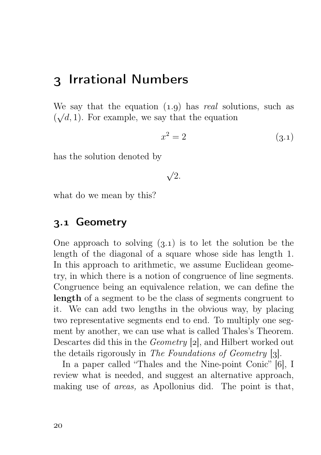# 3 Irrational Numbers

We say that the equation  $(1.9)$  has real solutions, such as  $(\sqrt{d}, 1)$ . For example, we say that the equation

$$
x^2 = 2\tag{3.1}
$$

has the solution denoted by

$$
\sqrt{2}.
$$

what do we mean by this?

#### . Geometry

One approach to solving  $(3.1)$  is to let the solution be the length of the diagonal of a square whose side has length 1. In this approach to arithmetic, we assume Euclidean geometry, in which there is a notion of congruence of line segments. Congruence being an equivalence relation, we can define the length of a segment to be the class of segments congruent to it. We can add two lengths in the obvious way, by placing two representative segments end to end. To multiply one segment by another, we can use what is called Thales's Theorem. Descartes did this in the *Geometry*  $[2]$ , and Hilbert worked out the details rigorously in The Foundations of Geometry  $[3]$ .

In a paper called "Thales and the Nine-point Conic" [6], I review what is needed, and suggest an alternative approach, making use of areas, as Apollonius did. The point is that,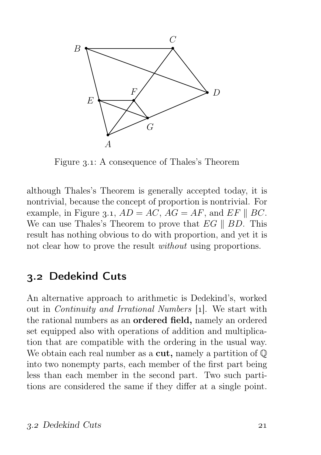

Figure 3.1: A consequence of Thales's Theorem

although Thales's Theorem is generally accepted today, it is nontrivial, because the concept of proportion is nontrivial. For example, in Figure 3.1,  $AD = AC$ ,  $AG = AF$ , and  $EF \parallel BC$ . We can use Thales's Theorem to prove that  $EG \parallel BD$ . This result has nothing obvious to do with proportion, and yet it is not clear how to prove the result without using proportions.

## 3.2 Dedekind Cuts

An alternative approach to arithmetic is Dedekind's, worked out in *Continuity and Irrational Numbers* [1]. We start with the rational numbers as an ordered field, namely an ordered set equipped also with operations of addition and multiplication that are compatible with the ordering in the usual way. We obtain each real number as a **cut**, namely a partition of  $\mathbb{Q}$ into two nonempty parts, each member of the first part being less than each member in the second part. Two such partitions are considered the same if they differ at a single point.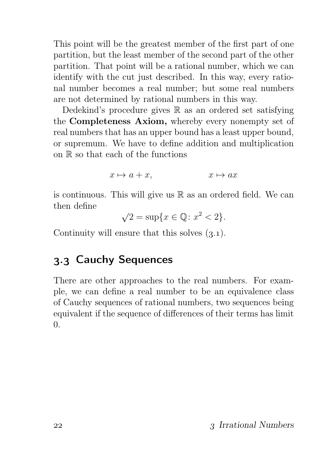This point will be the greatest member of the first part of one partition, but the least member of the second part of the other partition. That point will be a rational number, which we can identify with the cut just described. In this way, every rational number becomes a real number; but some real numbers are not determined by rational numbers in this way.

Dedekind's procedure gives  $\mathbb R$  as an ordered set satisfying the Completeness Axiom, whereby every nonempty set of real numbers that has an upper bound has a least upper bound, or supremum. We have to define addition and multiplication on  $\mathbb R$  so that each of the functions

$$
x \mapsto a + x, \qquad x \mapsto ax
$$

is continuous. This will give us  $\mathbb R$  as an ordered field. We can then define

 $\sqrt{2} = \sup\{x \in \mathbb{Q} : x^2 < 2\}.$ 

Continuity will ensure that this solves  $(3.1)$ .

#### . Cauchy Sequences

There are other approaches to the real numbers. For example, we can define a real number to be an equivalence class of Cauchy sequences of rational numbers, two sequences being equivalent if the sequence of differences of their terms has limit 0.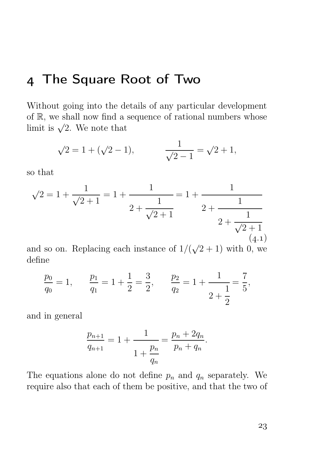# The Square Root of Two

Without going into the details of any particular development of R, we shall now find a sequence of rational numbers whose limit is  $\sqrt{2}$ . We note that

$$
\sqrt{2} = 1 + (\sqrt{2} - 1),
$$
  $\frac{1}{\sqrt{2} - 1} = \sqrt{2} + 1,$ 

so that

$$
\sqrt{2} = 1 + \frac{1}{\sqrt{2} + 1} = 1 + \frac{1}{2 + \frac{1}{\sqrt{2} + 1}} = 1 + \frac{1}{2 + \frac{1}{2 + \frac{1}{\sqrt{2} + 1}}}
$$
\n
$$
2 + \frac{1}{\sqrt{2} + 1}
$$
\n(4.1)

and so on. Replacing each instance of  $1/(\sqrt{2}+1)$  with 0, we define

$$
\frac{p_0}{q_0} = 1,
$$
\n $\frac{p_1}{q_1} = 1 + \frac{1}{2} = \frac{3}{2},$ \n $\frac{p_2}{q_2} = 1 + \frac{1}{2} = \frac{7}{5},$ \n $\frac{p_1}{p_2} = 1 + \frac{1}{2} = \frac{7}{5},$ 

and in general

$$
\frac{p_{n+1}}{q_{n+1}} = 1 + \frac{1}{1 + \frac{p_n}{q_n}} = \frac{p_n + 2q_n}{p_n + q_n}.
$$

The equations alone do not define  $p_n$  and  $q_n$  separately. We require also that each of them be positive, and that the two of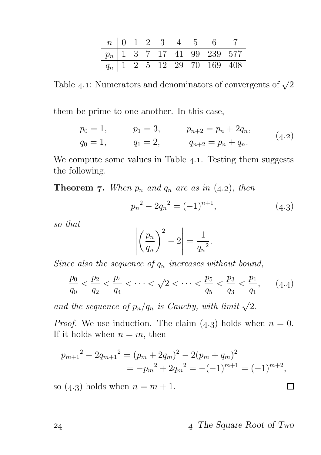|  |  |  | $n \mid 0 \quad 1 \quad 2 \quad 3 \quad 4 \quad 5 \quad 6 \quad 7$ |  |
|--|--|--|--------------------------------------------------------------------|--|
|  |  |  | $p_n$ 1 3 7 17 41 99 239 577                                       |  |
|  |  |  | $q_n$   1   2   5   12   29   $\overline{70}$   169   408          |  |

Table 4.1: Numerators and denominators of convergents of  $\sqrt{2}$ 

them be prime to one another. In this case,

$$
p_0 = 1,
$$
  $p_1 = 3,$   $p_{n+2} = p_n + 2q_n,$   
\n $q_0 = 1,$   $q_1 = 2,$   $q_{n+2} = p_n + q_n.$  (4.2)

We compute some values in Table  $4.1$ . Testing them suggests the following.

**Theorem 7.** When  $p_n$  and  $q_n$  are as in  $(4.2)$ , then

$$
p_n^2 - 2q_n^2 = (-1)^{n+1}, \tag{4.3}
$$

so that

$$
\left| \left( \frac{p_n}{q_n} \right)^2 - 2 \right| = \frac{1}{q_n^2}.
$$

Since also the sequence of  $q_n$  increases without bound,

$$
\frac{p_0}{q_0} < \frac{p_2}{q_2} < \frac{p_4}{q_4} < \dots < \sqrt{2} < \dots < \frac{p_5}{q_5} < \frac{p_3}{q_3} < \frac{p_1}{q_1},\qquad(4.4)
$$

and the sequence of  $p_n/q_n$  is Cauchy, with limit  $\sqrt{2}$ .

*Proof.* We use induction. The claim  $(4.3)$  holds when  $n = 0$ . If it holds when  $n = m$ , then

$$
p_{m+1}^{2} - 2q_{m+1}^{2} = (p_{m} + 2q_{m})^{2} - 2(p_{m} + q_{m})^{2}
$$
  
=  $-p_{m}^{2} + 2q_{m}^{2} = -(-1)^{m+1} = (-1)^{m+2},$ 

so  $(4.3)$  holds when  $n = m + 1$ .

The Square Root of Two

 $\Box$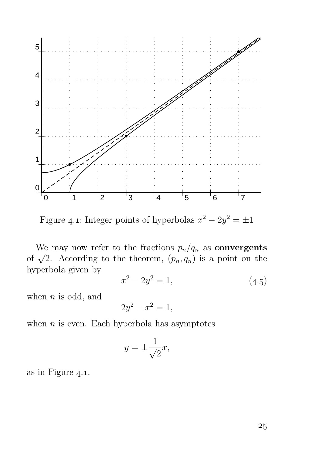

Figure 4.1: Integer points of hyperbolas  $x^2 - 2y^2 = \pm 1$ 

We may now refer to the fractions  $p_n/q_n$  as **convergents** of  $\sqrt{2}$ . According to the theorem,  $(p_n, q_n)$  is a point on the hyperbola given by

$$
x^2 - 2y^2 = 1,\t\t(4.5)
$$

when  $n$  is odd, and

$$
2y^2 - x^2 = 1,
$$

when  $n$  is even. Each hyperbola has asymptotes

$$
y = \pm \frac{1}{\sqrt{2}}x,
$$

as in Figure  $4.1$ .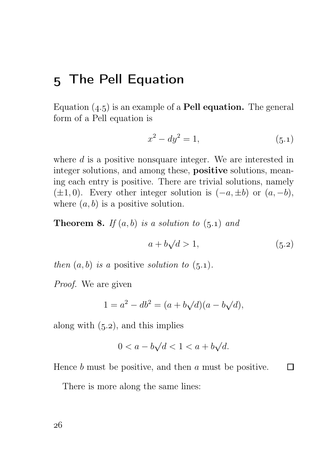# 5 The Pell Equation

Equation  $(4.5)$  is an example of a **Pell equation.** The general form of a Pell equation is

$$
x^2 - dy^2 = 1,\t\t(5.1)
$$

where  $d$  is a positive nonsquare integer. We are interested in integer solutions, and among these, positive solutions, meaning each entry is positive. There are trivial solutions, namely  $(\pm 1, 0)$ . Every other integer solution is  $(-a, \pm b)$  or  $(a, -b)$ , where  $(a, b)$  is a positive solution.

**Theorem 8.** If  $(a, b)$  is a solution to  $(5.1)$  and

$$
a + b\sqrt{d} > 1,\tag{5.2}
$$

 $\Box$ 

then  $(a, b)$  is a positive solution to  $(5.1)$ .

Proof. We are given

$$
1 = a^2 - db^2 = (a + b\sqrt{d})(a - b\sqrt{d}),
$$

along with  $(5.2)$ , and this implies

$$
0 < a - b\sqrt{d} < 1 < a + b\sqrt{d}.
$$

Hence  $b$  must be positive, and then  $a$  must be positive.

There is more along the same lines: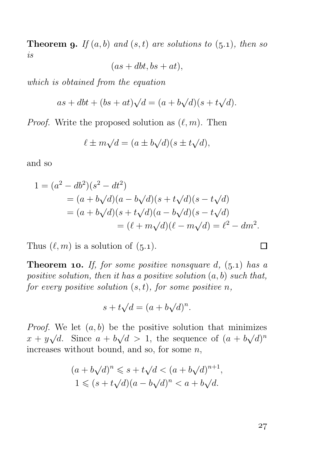**Theorem 9.** If  $(a, b)$  and  $(s, t)$  are solutions to  $(5.1)$ , then so is

 $(as + dbt, bs + at).$ 

which is obtained from the equation

$$
as + dbt + (bs + at)\sqrt{d} = (a + b\sqrt{d})(s + t\sqrt{d}).
$$

*Proof.* Write the proposed solution as  $(\ell, m)$ . Then

$$
\ell \pm m\sqrt{d} = (a \pm b\sqrt{d})(s \pm t\sqrt{d}),
$$

and so

$$
1 = (a2 - db2)(s2 - dt2)
$$
  
= (a + b $\sqrt{d}$ )(a - b $\sqrt{d}$ )(s + t $\sqrt{d}$ )(s - t $\sqrt{d}$ )  
= (a + b $\sqrt{d}$ )(s + t $\sqrt{d}$ )(a - b $\sqrt{d}$ )(s - t $\sqrt{d}$ )  
= (l + m $\sqrt{d}$ )(l - m $\sqrt{d}$ ) = l<sup>2</sup> - dm<sup>2</sup>.

Thus  $(\ell, m)$  is a solution of  $(5.1)$ .

**Theorem 10.** If, for some positive nonsquare d,  $(5.1)$  has a positive solution, then it has a positive solution  $(a, b)$  such that, for every positive solution  $(s, t)$ , for some positive n,

$$
s + t\sqrt{d} = (a + b\sqrt{d})^n.
$$

*Proof.* We let  $(a, b)$  be the positive solution that minimizes  $x + y\sqrt{d}$ . Since  $a + b\sqrt{d} > 1$ , the sequence of  $(a + b\sqrt{d})^n$ increases without bound, and so, for some  $n$ ,

$$
(a+b\sqrt{d})^n \leqslant s+t\sqrt{d} < (a+b\sqrt{d})^{n+1},
$$
  

$$
1 \leqslant (s+t\sqrt{d})(a-b\sqrt{d})^n < a+b\sqrt{d}.
$$

 $\Box$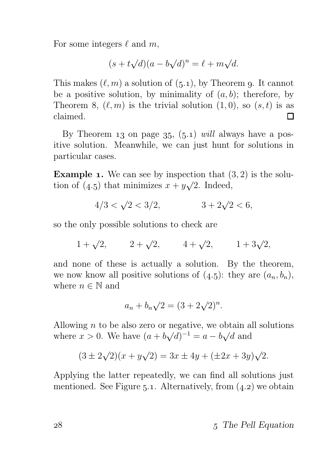For some integers  $\ell$  and  $m$ ,

$$
(s + t\sqrt{d})(a - b\sqrt{d})^n = \ell + m\sqrt{d}.
$$

This makes  $(\ell, m)$  a solution of  $(5.1)$ , by Theorem 9. It cannot be a positive solution, by minimality of  $(a, b)$ ; therefore, by Theorem 8,  $(\ell, m)$  is the trivial solution  $(1, 0)$ , so  $(s, t)$  is as claimed. П

By Theorem 13 on page  $35, (5.1)$  will always have a positive solution. Meanwhile, we can just hunt for solutions in particular cases.

**Example 1.** We can see by inspection that  $(3, 2)$  is the solution of (4.5) that minimizes  $x + y\sqrt{2}$ . Indeed,

$$
4/3 < \sqrt{2} < 3/2, \qquad 3 + 2\sqrt{2} < 6,
$$

so the only possible solutions to check are

$$
1 + \sqrt{2}
$$
,  $2 + \sqrt{2}$ ,  $4 + \sqrt{2}$ ,  $1 + 3\sqrt{2}$ ,

and none of these is actually a solution. By the theorem, we now know all positive solutions of  $(4.5)$ : they are  $(a_n, b_n)$ , where  $n \in \mathbb{N}$  and

$$
a_n + b_n \sqrt{2} = (3 + 2\sqrt{2})^n.
$$

Allowing  $n$  to be also zero or negative, we obtain all solutions where  $x > 0$ . We have  $(a + b\sqrt{d})^{-1} = a - b\sqrt{d}$  and

$$
(3 \pm 2\sqrt{2})(x + y\sqrt{2}) = 3x \pm 4y + (\pm 2x + 3y)\sqrt{2}.
$$

Applying the latter repeatedly, we can find all solutions just mentioned. See Figure 5.1. Alternatively, from  $(4.2)$  we obtain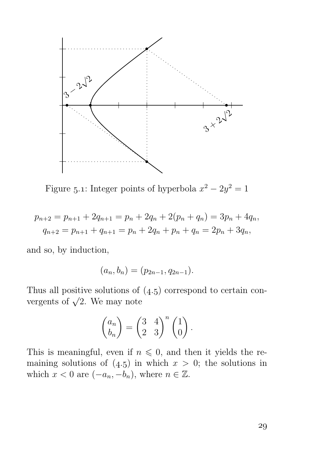

Figure 5.1: Integer points of hyperbola  $x^2 - 2y^2 = 1$ 

$$
p_{n+2} = p_{n+1} + 2q_{n+1} = p_n + 2q_n + 2(p_n + q_n) = 3p_n + 4q_n,
$$
  

$$
q_{n+2} = p_{n+1} + q_{n+1} = p_n + 2q_n + p_n + q_n = 2p_n + 3q_n,
$$

and so, by induction,

$$
(a_n, b_n) = (p_{2n-1}, q_{2n-1}).
$$

Thus all positive solutions of  $(4.5)$  correspond to certain convergents of  $\sqrt{2}$ . We may note

$$
\begin{pmatrix} a_n \\ b_n \end{pmatrix} = \begin{pmatrix} 3 & 4 \\ 2 & 3 \end{pmatrix}^n \begin{pmatrix} 1 \\ 0 \end{pmatrix}.
$$

This is meaningful, even if  $n \leq 0$ , and then it yields the remaining solutions of  $(4.5)$  in which  $x > 0$ ; the solutions in which  $x < 0$  are  $(-a_n, -b_n)$ , where  $n \in \mathbb{Z}$ .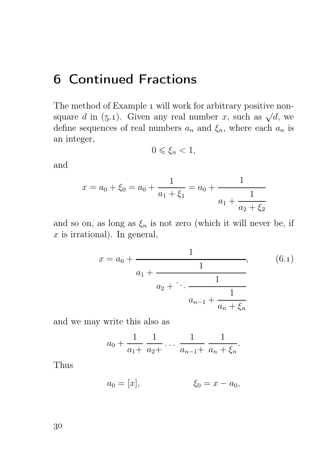# Continued Fractions

The method of Example 1 will work for arbitrary positive nonsquare d in (5.1). Given any real number x, such as  $\sqrt{d}$ , we define sequences of real numbers  $a_n$  and  $\xi_n$ , where each  $a_n$  is an integer,

$$
0\leqslant \xi_n<1,
$$

and

$$
x = a_0 + \xi_0 = a_0 + \frac{1}{a_1 + \xi_1} = a_0 + \frac{1}{a_1 + \frac{1}{a_2 + \xi_2}}
$$

and so on, as long as  $\xi_n$  is not zero (which it will never be, if  $x$  is irrational). In general,

$$
x = a_0 + \cfrac{1}{a_1 + \cfrac{1}{a_2 + \ddots + \cfrac{1}{a_{n-1} + \cfrac{1}{a_n + \xi_n}}}},\tag{6.1}
$$

and we may write this also as

$$
a_0 + \frac{1}{a_1 +} \frac{1}{a_2 +} \cdots \frac{1}{a_{n-1} +} \frac{1}{a_n + \xi_n}.
$$

Thus

$$
a_0 = [x],
$$
  $\xi_0 = x - a_0,$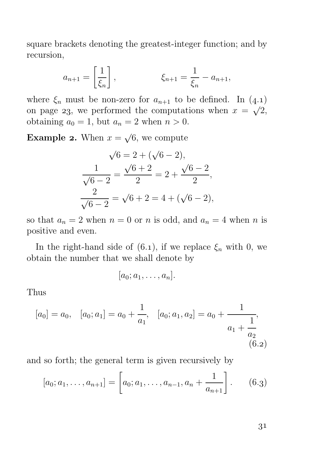square brackets denoting the greatest-integer function; and by recursion,

$$
a_{n+1} = \left[\frac{1}{\xi_n}\right],
$$
  $\xi_{n+1} = \frac{1}{\xi_n} - a_{n+1},$ 

where  $\xi_n$  must be non-zero for  $a_{n+1}$  to be defined. In  $(4.1)$ on page 23, we performed the computations when  $x = \sqrt{2}$ , obtaining  $a_0 = 1$ , but  $a_n = 2$  when  $n > 0$ .

**Example 2.** When  $x = \sqrt{6}$ , we compute

$$
\sqrt{6} = 2 + (\sqrt{6} - 2),
$$
  
\n
$$
\frac{1}{\sqrt{6} - 2} = \frac{\sqrt{6} + 2}{2} = 2 + \frac{\sqrt{6} - 2}{2},
$$
  
\n
$$
\frac{2}{\sqrt{6} - 2} = \sqrt{6} + 2 = 4 + (\sqrt{6} - 2),
$$

so that  $a_n = 2$  when  $n = 0$  or n is odd, and  $a_n = 4$  when n is positive and even.

In the right-hand side of (6.1), if we replace  $\xi_n$  with 0, we obtain the number that we shall denote by

$$
[a_0; a_1, \ldots, a_n].
$$

Thus

$$
[a_0] = a_0, \quad [a_0; a_1] = a_0 + \frac{1}{a_1}, \quad [a_0; a_1, a_2] = a_0 + \frac{1}{a_1 + \frac{1}{a_2}},
$$
  
(6.2)

and so forth; the general term is given recursively by

$$
[a_0; a_1, \dots, a_{n+1}] = \left[a_0; a_1, \dots, a_{n-1}, a_n + \frac{1}{a_{n+1}}\right].
$$
 (6.3)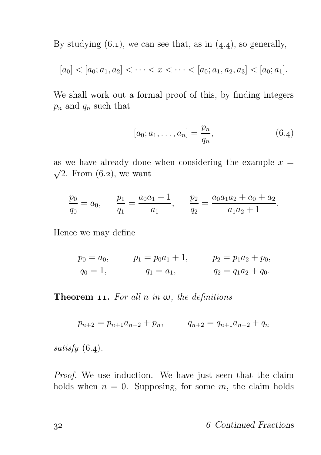By studying  $(6.1)$ , we can see that, as in  $(4.4)$ , so generally,

$$
[a_0] < [a_0; a_1, a_2] < \cdots < x < \cdots < [a_0; a_1, a_2, a_3] < [a_0; a_1].
$$

We shall work out a formal proof of this, by finding integers  $p_n$  and  $q_n$  such that

$$
[a_0; a_1, \dots, a_n] = \frac{p_n}{q_n}, \tag{6.4}
$$

as we have already done when considering the example  $x =$  $\sqrt{2}$ . From (6.2), we want

$$
\frac{p_0}{q_0} = a_0, \qquad \frac{p_1}{q_1} = \frac{a_0 a_1 + 1}{a_1}, \qquad \frac{p_2}{q_2} = \frac{a_0 a_1 a_2 + a_0 + a_2}{a_1 a_2 + 1}.
$$

Hence we may define

$$
p_0 = a_0,
$$
  $p_1 = p_0 a_1 + 1,$   $p_2 = p_1 a_2 + p_0,$   
\n $q_0 = 1,$   $q_1 = a_1,$   $q_2 = q_1 a_2 + q_0.$ 

**Theorem 11.** For all n in  $\omega$ , the definitions

$$
p_{n+2} = p_{n+1}a_{n+2} + p_n, \qquad q_{n+2} = q_{n+1}a_{n+2} + q_n
$$

satisfy  $(6.4)$ .

Proof. We use induction. We have just seen that the claim holds when  $n = 0$ . Supposing, for some m, the claim holds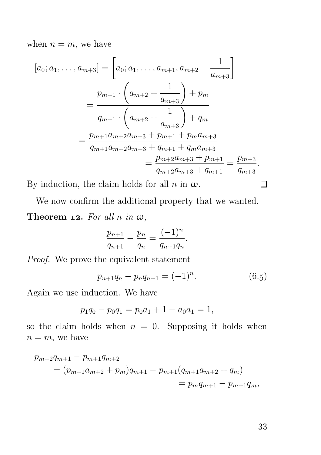when  $n = m$ , we have

$$
[a_0; a_1, \dots, a_{m+3}] = \left[a_0; a_1, \dots, a_{m+1}, a_{m+2} + \frac{1}{a_{m+3}}\right]
$$
  
= 
$$
\frac{p_{m+1} \cdot \left(a_{m+2} + \frac{1}{a_{m+3}}\right) + p_m}{q_{m+1} \cdot \left(a_{m+2} + \frac{1}{a_{m+3}}\right) + q_m}
$$
  
= 
$$
\frac{p_{m+1}a_{m+2}a_{m+3} + p_{m+1} + p_ma_{m+3}}{q_{m+1}a_{m+2}a_{m+3} + q_{m+1} + q_ma_{m+3}}
$$
  
= 
$$
\frac{p_{m+2}a_{m+3} + p_{m+1}}{q_{m+2}a_{m+3} + q_{m+1}} = \frac{p_{m+3}}{q_{m+3}}.
$$

By induction, the claim holds for all  $n$  in  $\omega$ .

We now confirm the additional property that we wanted. Theorem 12. For all n in  $\omega$ ,

$$
\frac{p_{n+1}}{q_{n+1}} - \frac{p_n}{q_n} = \frac{(-1)^n}{q_{n+1}q_n}.
$$

Proof. We prove the equivalent statement

$$
p_{n+1}q_n - p_n q_{n+1} = (-1)^n.
$$
 (6.5)

Again we use induction. We have

$$
p_1q_0 - p_0q_1 = p_0a_1 + 1 - a_0a_1 = 1,
$$

so the claim holds when  $n = 0$ . Supposing it holds when  $n = m$ , we have

$$
p_{m+2}q_{m+1} - p_{m+1}q_{m+2}
$$
  
=  $(p_{m+1}a_{m+2} + p_m)q_{m+1} - p_{m+1}(q_{m+1}a_{m+2} + q_m)$   
=  $p_mq_{m+1} - p_{m+1}q_m$ ,

33

 $\Box$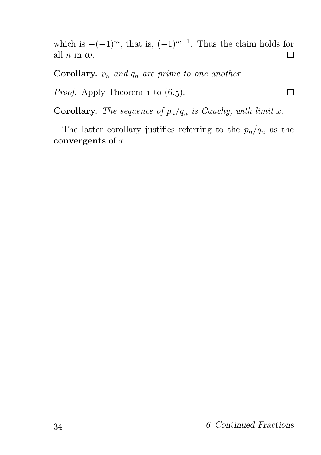which is  $-(-1)^m$ , that is,  $(-1)^{m+1}$ . Thus the claim holds for all *n* in  $\omega$ . all  $n$  in  $\omega$ .

**Corollary.**  $p_n$  and  $q_n$  are prime to one another.

*Proof.* Apply Theorem 1 to  $(6.5)$ .

**Corollary.** The sequence of  $p_n/q_n$  is Cauchy, with limit x.

The latter corollary justifies referring to the  $p_n/q_n$  as the convergents of  $x$ .

Π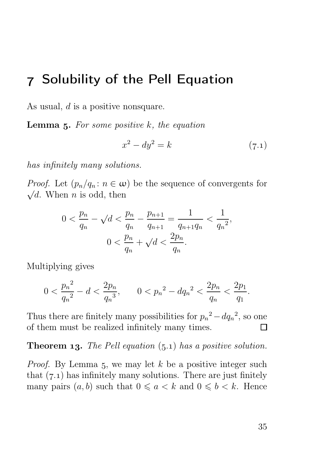# Solubility of the Pell Equation

As usual, d is a positive nonsquare.

**Lemma 5.** For some positive  $k$ , the equation

$$
x^2 - dy^2 = k \tag{7.1}
$$

has infinitely many solutions.

*Proof.* Let  $(p_n/q_n : n \in \omega)$  be the sequence of convergents for  $\sqrt{d}$ . When *n* is odd, then

$$
0 < \frac{p_n}{q_n} - \sqrt{d} < \frac{p_n}{q_n} - \frac{p_{n+1}}{q_{n+1}} = \frac{1}{q_{n+1}q_n} < \frac{1}{q_n^2},
$$
\n
$$
0 < \frac{p_n}{q_n} + \sqrt{d} < \frac{2p_n}{q_n}.
$$

Multiplying gives

$$
0 < \frac{p_n^2}{q_n^2} - d < \frac{2p_n}{q_n^3}, \qquad 0 < p_n^2 - dq_n^2 < \frac{2p_n}{q_n} < \frac{2p_1}{q_1}.
$$

Thus there are finitely many possibilities for  $p_n^2 - dq_n^2$ , so one of them must be realized infinitely many times.  $\Box$ 

#### **Theorem 13.** The Pell equation  $(5.1)$  has a positive solution.

*Proof.* By Lemma 5, we may let  $k$  be a positive integer such that  $(7.1)$  has infinitely many solutions. There are just finitely many pairs  $(a, b)$  such that  $0 \le a \le k$  and  $0 \le b \le k$ . Hence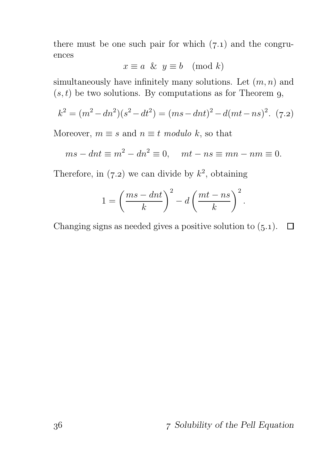there must be one such pair for which  $(7.1)$  and the congruences

$$
x \equiv a \And y \equiv b \pmod{k}
$$

simultaneously have infinitely many solutions. Let  $(m, n)$  and  $(s, t)$  be two solutions. By computations as for Theorem 9,

$$
k^{2} = (m^{2} - dn^{2})(s^{2} - dt^{2}) = (ms - dn t)^{2} - d(mt - ns)^{2}. (7.2)
$$

Moreover,  $m \equiv s$  and  $n \equiv t$  modulo k, so that

$$
ms - dnt \equiv m^2 - dn^2 \equiv 0, \quad mt - ns \equiv mn - nm \equiv 0.
$$

Therefore, in (7.2) we can divide by  $k^2$ , obtaining

$$
1 = \left(\frac{ms - dnt}{k}\right)^2 - d\left(\frac{mt - ns}{k}\right)^2.
$$

Changing signs as needed gives a positive solution to  $(5.1)$ .  $\Box$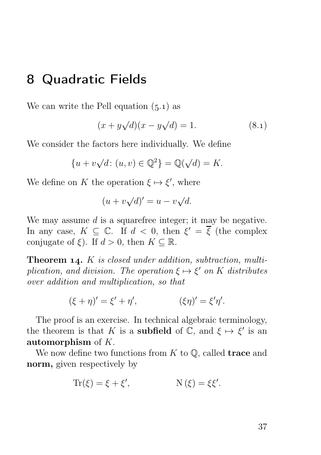# Quadratic Fields

We can write the Pell equation  $(5.1)$  as

$$
(x + y\sqrt{d})(x - y\sqrt{d}) = 1.
$$
 (8.1)

We consider the factors here individually. We define

$$
\{u + v\sqrt{d} \colon (u, v) \in \mathbb{Q}^2\} = \mathbb{Q}(\sqrt{d}) = K.
$$

We define on K the operation  $\xi \mapsto \xi'$ , where

$$
(u + v\sqrt{d})' = u - v\sqrt{d}.
$$

We may assume  $d$  is a squarefree integer; it may be negative. In any case,  $K \subseteq \mathbb{C}$ . If  $d < 0$ , then  $\xi' = \overline{\xi}$  (the complex conjugate of  $\xi$ ). If  $d > 0$ , then  $K \subseteq \mathbb{R}$ .

**Theorem 14.**  $K$  is closed under addition, subtraction, multiplication, and division. The operation  $\xi \mapsto \xi'$  on K distributes over addition and multiplication, so that

$$
(\xi + \eta)' = \xi' + \eta', \qquad (\xi \eta)' = \xi' \eta'.
$$

The proof is an exercise. In technical algebraic terminology, the theorem is that K is a **subfield** of  $\tilde{\mathbb{C}}$ , and  $\xi \mapsto \xi'$  is an automorphism of  $K$ .

We now define two functions from  $K$  to  $\mathbb{Q}$ , called **trace** and norm, given respectively by

$$
Tr(\xi) = \xi + \xi', \qquad N(\xi) = \xi \xi'.
$$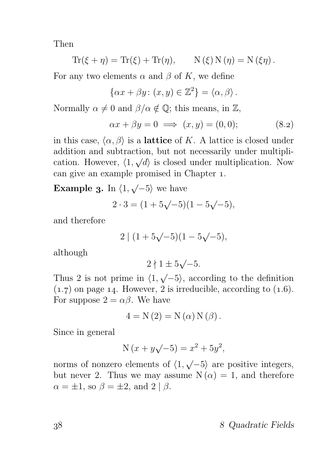Then

$$
\operatorname{Tr}(\xi + \eta) = \operatorname{Tr}(\xi) + \operatorname{Tr}(\eta), \qquad \operatorname{N}(\xi) \operatorname{N}(\eta) = \operatorname{N}(\xi \eta).
$$

For any two elements  $\alpha$  and  $\beta$  of K, we define

$$
\{\alpha x + \beta y \colon (x, y) \in \mathbb{Z}^2\} = \langle \alpha, \beta \rangle.
$$

Normally  $\alpha \neq 0$  and  $\beta/\alpha \notin \mathbb{Q}$ ; this means, in  $\mathbb{Z}$ ,

$$
\alpha x + \beta y = 0 \implies (x, y) = (0, 0); \tag{8.2}
$$

in this case,  $\langle \alpha, \beta \rangle$  is a lattice of K. A lattice is closed under addition and subtraction, but not necessarily under multiplication. However,  $\langle 1, \sqrt{d} \rangle$  is closed under multiplication. Now can give an example promised in Chapter 1.

**Example 3.** In  $\langle 1, \sqrt{-5} \rangle$  we have

$$
2 \cdot 3 = (1 + 5\sqrt{-5})(1 - 5\sqrt{-5}),
$$

and therefore

$$
2 | (1 + 5\sqrt{-5})(1 - 5\sqrt{-5}),
$$

although

 $2 \nmid 1 \pm 5 \sqrt{-5}.$ 

Thus 2 is not prime in  $\langle 1, \sqrt{-5} \rangle$ , according to the definition  $(1.7)$  on page 14. However, 2 is irreducible, according to  $(1.6)$ . For suppose  $2 = \alpha \beta$ . We have

$$
4 = N(2) = N(\alpha) N(\beta).
$$

Since in general

$$
N(x + y\sqrt{-5}) = x^2 + 5y^2,
$$

norms of nonzero elements of  $\langle 1, \sqrt{-5} \rangle$  are positive integers, but never 2. Thus we may assume  $N(\alpha) = 1$ , and therefore  $\alpha = \pm 1$ , so  $\beta = \pm 2$ , and  $2 | \beta$ .

Quadratic Fields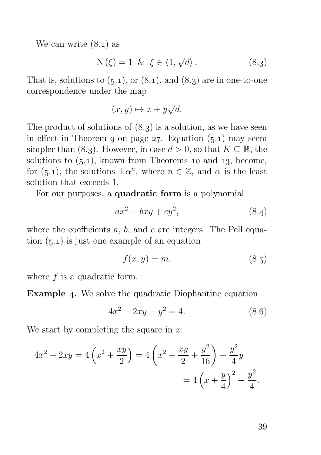We can write  $(8.1)$  as

$$
N(\xi) = 1 \& \xi \in \langle 1, \sqrt{d} \rangle. \tag{8.3}
$$

That is, solutions to  $(5.1)$ , or  $(8.1)$ , and  $(8.3)$  are in one-to-one correspondence under the map

$$
(x, y) \mapsto x + y\sqrt{d}.
$$

The product of solutions of  $(8.3)$  is a solution, as we have seen in effect in Theorem 9 on page 27. Equation  $(5.1)$  may seem simpler than (8.3). However, in case  $d > 0$ , so that  $K \subseteq \mathbb{R}$ , the solutions to  $(5.1)$ , known from Theorems 10 and 13, become, for (5.1), the solutions  $\pm \alpha^n$ , where  $n \in \mathbb{Z}$ , and  $\alpha$  is the least solution that exceeds 1.

For our purposes, a quadratic form is a polynomial

$$
ax^2 + bxy + cy^2, \tag{8.4}
$$

where the coefficients  $a, b$ , and  $c$  are integers. The Pell equation  $(5.1)$  is just one example of an equation

$$
f(x,y) = m,\t\t(8.5)
$$

where  $f$  is a quadratic form.

**Example 4.** We solve the quadratic Diophantine equation

$$
4x^2 + 2xy - y^2 = 4.\t(8.6)
$$

We start by completing the square in  $x$ :

$$
4x^{2} + 2xy = 4\left(x^{2} + \frac{xy}{2}\right) = 4\left(x^{2} + \frac{xy}{2} + \frac{y^{2}}{16}\right) - \frac{y^{2}}{4}y
$$

$$
= 4\left(x + \frac{y}{4}\right)^{2} - \frac{y^{2}}{4}.
$$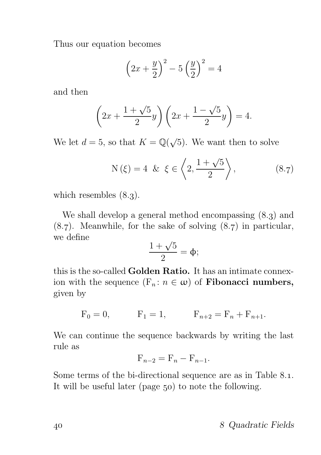Thus our equation becomes

$$
\left(2x + \frac{y}{2}\right)^2 - 5\left(\frac{y}{2}\right)^2 = 4
$$

and then

$$
\left(2x + \frac{1+\sqrt{5}}{2}y\right)\left(2x + \frac{1-\sqrt{5}}{2}y\right) = 4.
$$

We let  $d = 5$ , so that  $K = \mathbb{Q}(\sqrt{5})$ . We want then to solve

$$
N(\xi) = 4 \& \xi \in \left\langle 2, \frac{1+\sqrt{5}}{2} \right\rangle, \tag{8.7}
$$

which resembles  $(8.3)$ .

We shall develop a general method encompassing  $(8.3)$  and  $(8.7)$ . Meanwhile, for the sake of solving  $(8.7)$  in particular, we define

$$
\frac{1+\sqrt{5}}{2} = \Phi;
$$

this is the so-called Golden Ratio. It has an intimate connexion with the sequence  $(F_n : n \in \omega)$  of **Fibonacci numbers,** given by

$$
F_0 = 0,
$$
  $F_1 = 1,$   $F_{n+2} = F_n + F_{n+1}.$ 

We can continue the sequence backwards by writing the last rule as

$$
\mathcal{F}_{n-2} = \mathcal{F}_n - \mathcal{F}_{n-1}.
$$

Some terms of the bi-directional sequence are as in Table 8.1. It will be useful later (page  $50$ ) to note the following.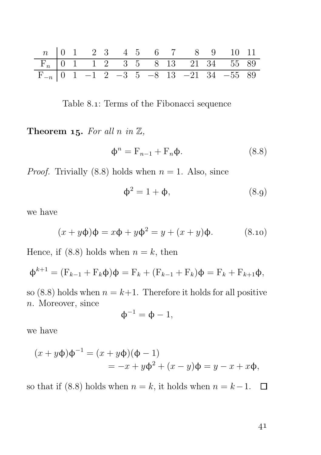n 0 1 2 3 4 5 6 7 8 9 10 11 F<sup>n</sup> 0 1 1 2 3 5 8 13 21 34 55 89 F<sup>−</sup><sup>n</sup> 0 1 −1 2 −3 5 −8 13 −21 34 −55 89

Table 8.1: Terms of the Fibonacci sequence

Theorem 15. For all n in  $\mathbb{Z}$ ,

$$
\Phi^n = \mathcal{F}_{n-1} + \mathcal{F}_n \Phi. \tag{8.8}
$$

*Proof.* Trivially (8.8) holds when  $n = 1$ . Also, since

$$
\Phi^2 = 1 + \Phi,\tag{8.9}
$$

we have

$$
(x+y\Phi)\Phi = x\Phi + y\Phi^2 = y + (x+y)\Phi.
$$
 (8.10)

Hence, if (8.8) holds when  $n = k$ , then

$$
\Phi^{k+1} = (F_{k-1} + F_k \Phi)\Phi = F_k + (F_{k-1} + F_k)\Phi = F_k + F_{k+1}\Phi,
$$

so (8.8) holds when  $n = k+1$ . Therefore it holds for all positive n. Moreover, since

$$
\varphi^{-1}=\varphi-1,
$$

we have

$$
(x + y\Phi)\Phi^{-1} = (x + y\Phi)(\Phi - 1)
$$
  
= -x + y\Phi<sup>2</sup> + (x - y)\Phi = y - x + x\Phi,

so that if (8.8) holds when  $n = k$ , it holds when  $n = k-1$ .  $\Box$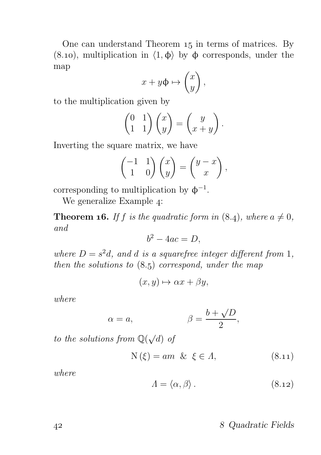One can understand Theorem 15 in terms of matrices. By (8.10), multiplication in  $\langle 1, \phi \rangle$  by  $\phi$  corresponds, under the map

$$
x + y\Phi \mapsto \begin{pmatrix} x \\ y \end{pmatrix},
$$

to the multiplication given by

$$
\begin{pmatrix} 0 & 1 \\ 1 & 1 \end{pmatrix} \begin{pmatrix} x \\ y \end{pmatrix} = \begin{pmatrix} y \\ x + y \end{pmatrix}.
$$

Inverting the square matrix, we have

$$
\begin{pmatrix} -1 & 1 \ 1 & 0 \end{pmatrix} \begin{pmatrix} x \ y \end{pmatrix} = \begin{pmatrix} y - x \ x \end{pmatrix},
$$

corresponding to multiplication by  $\phi^{-1}$ .

We generalize Example 4:

**Theorem 16.** If f is the quadratic form in  $(8.4)$ , where  $a \neq 0$ , and

$$
b^2 - 4ac = D,
$$

where  $D = s^2d$ , and d is a squarefree integer different from 1, then the solutions to  $(8.5)$  correspond, under the map

$$
(x, y) \mapsto \alpha x + \beta y,
$$

where

$$
\alpha = a, \qquad \beta = \frac{b + \sqrt{D}}{2},
$$

to the solutions from  $\mathbb{Q}(\sqrt{d})$  of

$$
N(\xi) = am \& \xi \in \Lambda, \tag{8.11}
$$

where

$$
\Lambda = \langle \alpha, \beta \rangle. \tag{8.12}
$$

#### Quadratic Fields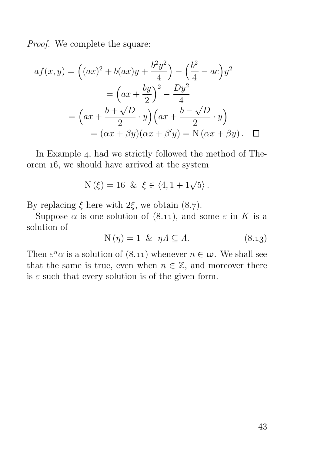Proof. We complete the square:

$$
af(x,y) = ((ax)^2 + b(ax)y + \frac{b^2y^2}{4}) - (\frac{b^2}{4} - ac)y^2
$$

$$
= (ax + \frac{by}{2})^2 - \frac{Dy^2}{4}
$$

$$
= (ax + \frac{b + \sqrt{D}}{2} \cdot y)(ax + \frac{b - \sqrt{D}}{2} \cdot y)
$$

$$
= (\alpha x + \beta y)(\alpha x + \beta' y) = N(\alpha x + \beta y). \quad \Box
$$

In Example 4, had we strictly followed the method of Theorem 16, we should have arrived at the system

$$
N(\xi) = 16 \& \xi \in \langle 4, 1 + 1\sqrt{5} \rangle.
$$

By replacing  $\xi$  here with  $2\xi$ , we obtain  $(8.7)$ .

Suppose  $\alpha$  is one solution of (8.11), and some  $\varepsilon$  in K is a solution of

$$
N(\eta) = 1 \& \eta \Lambda \subseteq \Lambda. \tag{8.13}
$$

Then  $\varepsilon^n \alpha$  is a solution of (8.11) whenever  $n \in \omega$ . We shall see that the same is true, even when  $n \in \mathbb{Z}$ , and moreover there is  $\varepsilon$  such that every solution is of the given form.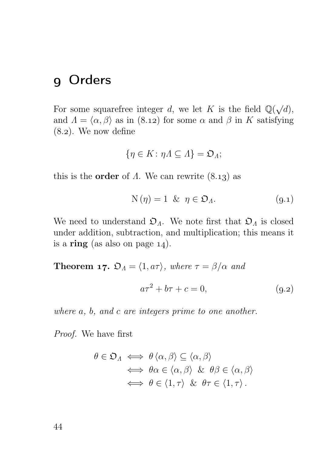# Orders

For some squarefree integer d, we let K is the field  $\mathbb{Q}(\sqrt{d})$ , and  $\Lambda = \langle \alpha, \beta \rangle$  as in (8.12) for some  $\alpha$  and  $\beta$  in K satisfying  $(8.2)$ . We now define

$$
\{\eta\in K\colon \eta\Lambda\subseteq\Lambda\}=\mathfrak{O}_{\Lambda};
$$

this is the **order** of  $\Lambda$ . We can rewrite  $(8.13)$  as

$$
N(\eta) = 1 \& \eta \in \mathfrak{O}_\Lambda. \tag{9.1}
$$

We need to understand  $\mathfrak{O}_\Lambda$ . We note first that  $\mathfrak{O}_\Lambda$  is closed under addition, subtraction, and multiplication; this means it is a ring (as also on page  $14$ ).

**Theorem 17.** 
$$
\mathfrak{O}_A = \langle 1, a\tau \rangle
$$
, where  $\tau = \beta/\alpha$  and  

$$
a\tau^2 + b\tau + c = 0,
$$
 (9.2)

where a, b, and c are integers prime to one another.

Proof. We have first

$$
\theta \in \mathfrak{O}_{\Lambda} \iff \theta \langle \alpha, \beta \rangle \subseteq \langle \alpha, \beta \rangle
$$
  

$$
\iff \theta \alpha \in \langle \alpha, \beta \rangle \& \theta \beta \in \langle \alpha, \beta \rangle
$$
  

$$
\iff \theta \in \langle 1, \tau \rangle \& \theta \tau \in \langle 1, \tau \rangle.
$$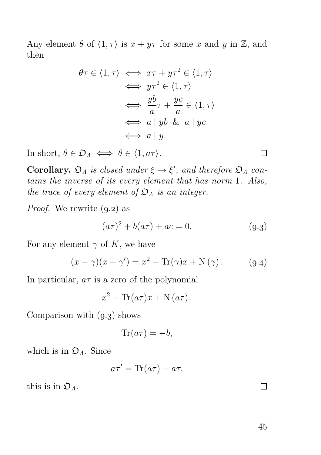Any element  $\theta$  of  $\langle 1, \tau \rangle$  is  $x + y\tau$  for some x and y in Z, and then

$$
\theta \tau \in \langle 1, \tau \rangle \iff x\tau + y\tau^2 \in \langle 1, \tau \rangle
$$
  
\n
$$
\iff y\tau^2 \in \langle 1, \tau \rangle
$$
  
\n
$$
\iff \frac{yb}{a}\tau + \frac{yc}{a} \in \langle 1, \tau \rangle
$$
  
\n
$$
\iff a \mid yb \& a \mid yc
$$
  
\n
$$
\iff a \mid y.
$$

In short,  $\theta \in \mathfrak{O}_A \iff \theta \in \langle 1, a\tau \rangle$ .

**Corollary.**  $\mathfrak{O}_A$  is closed under  $\xi \mapsto \xi'$ , and therefore  $\mathfrak{O}_A$  contains the inverse of its every element that has norm 1. Also, the trace of every element of  $\mathfrak{O}_\Lambda$  is an integer.

*Proof.* We rewrite  $(9.2)$  as

$$
(a\tau)^2 + b(a\tau) + ac = 0.
$$
 (9.3)

For any element  $\gamma$  of K, we have

$$
(x - \gamma)(x - \gamma') = x^2 - \text{Tr}(\gamma)x + \text{N}(\gamma).
$$
 (9.4)

In particular,  $a\tau$  is a zero of the polynomial

$$
x^2 - \text{Tr}(a\tau)x + \text{N}(a\tau).
$$

Comparison with  $(9.3)$  shows

$$
\text{Tr}(a\tau) = -b,
$$

which is in  $\mathfrak{O}_A$ . Since

$$
a\tau' = \text{Tr}(a\tau) - a\tau,
$$

this is in  $\mathfrak{O}_A$ .

 $\Box$ 

П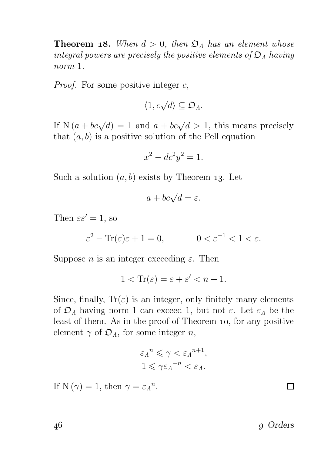**Theorem 18.** When  $d > 0$ , then  $\mathfrak{O}_A$  has an element whose integral powers are precisely the positive elements of  $\mathfrak{O}_\Lambda$  having norm 1.

*Proof.* For some positive integer  $c$ ,

$$
\langle 1, c\sqrt{d} \rangle \subseteq \mathfrak{O}_A.
$$

If  $N(a + bc\sqrt{d}) = 1$  and  $a + bc\sqrt{d} > 1$ , this means precisely that  $(a, b)$  is a positive solution of the Pell equation

$$
x^2 - dc^2y^2 = 1.
$$

Such a solution  $(a, b)$  exists by Theorem 13. Let

$$
a + bc\sqrt{d} = \varepsilon.
$$

Then  $\varepsilon \varepsilon' = 1$ , so

$$
\varepsilon^2 - \text{Tr}(\varepsilon)\varepsilon + 1 = 0, \qquad 0 < \varepsilon^{-1} < 1 < \varepsilon.
$$

Suppose *n* is an integer exceeding  $\varepsilon$ . Then

$$
1 < \text{Tr}(\varepsilon) = \varepsilon + \varepsilon' < n + 1.
$$

Since, finally,  $Tr(\varepsilon)$  is an integer, only finitely many elements of  $\mathfrak{O}_\Lambda$  having norm 1 can exceed 1, but not  $\varepsilon$ . Let  $\varepsilon_\Lambda$  be the least of them. As in the proof of Theorem 10, for any positive element  $\gamma$  of  $\mathfrak{O}_\Lambda$ , for some integer n,

$$
\varepsilon_{\Lambda}^{n} \leqslant \gamma < \varepsilon_{\Lambda}^{n+1},
$$
\n
$$
1 \leqslant \gamma \varepsilon_{\Lambda}^{-n} < \varepsilon_{\Lambda}.
$$

If N( $\gamma$ ) = 1, then  $\gamma = \varepsilon_{\Lambda}^{n}$ .

46 9 Orders

 $\Box$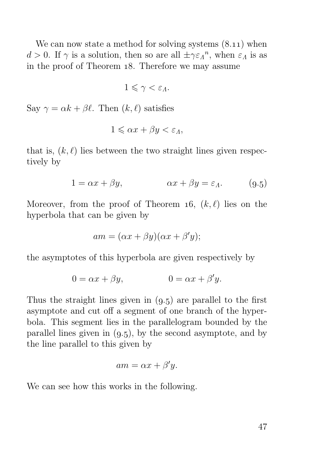We can now state a method for solving systems  $(8.11)$  when  $d > 0$ . If  $\gamma$  is a solution, then so are all  $\pm \gamma \varepsilon_{\Lambda}^n$ , when  $\varepsilon_{\Lambda}$  is as in the proof of Theorem 18. Therefore we may assume

$$
1\leqslant \gamma <\varepsilon _{A}.
$$

Say  $\gamma = \alpha k + \beta \ell$ . Then  $(k, \ell)$  satisfies

$$
1 \leqslant \alpha x + \beta y < \varepsilon_{\Lambda},
$$

that is,  $(k, \ell)$  lies between the two straight lines given respectively by

$$
1 = \alpha x + \beta y, \qquad \alpha x + \beta y = \varepsilon_A. \qquad (9.5)
$$

Moreover, from the proof of Theorem 16,  $(k, \ell)$  lies on the hyperbola that can be given by

$$
am = (\alpha x + \beta y)(\alpha x + \beta' y);
$$

the asymptotes of this hyperbola are given respectively by

$$
0 = \alpha x + \beta y, \qquad \qquad 0 = \alpha x + \beta' y.
$$

Thus the straight lines given in  $(9.5)$  are parallel to the first asymptote and cut off a segment of one branch of the hyperbola. This segment lies in the parallelogram bounded by the parallel lines given in  $(9.5)$ , by the second asymptote, and by the line parallel to this given by

$$
am = \alpha x + \beta' y.
$$

We can see how this works in the following.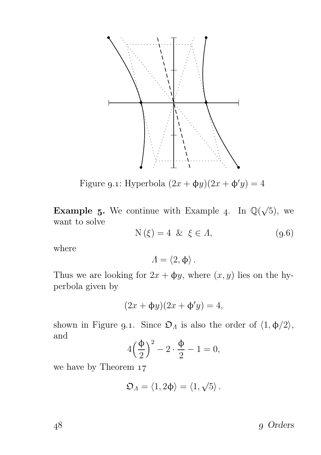

Figure 9.1: Hyperbola  $(2x + \phi y)(2x + \phi' y) = 4$ 

**Example 5.** We continue with Example 4. In  $\mathbb{Q}(\sqrt{5})$ , we want to solve

$$
N(\xi) = 4 \& \xi \in \Lambda, \tag{9.6}
$$

where

$$
\varLambda = \langle 2, \varphi \rangle \, .
$$

Thus we are looking for  $2x + \phi y$ , where  $(x, y)$  lies on the hyperbola given by

$$
(2x + \Phi y)(2x + \Phi'y) = 4,
$$

shown in Figure 9.1. Since  $\mathfrak{O}_A$  is also the order of  $\langle 1, \phi/2 \rangle$ , and

$$
4\left(\frac{\Phi}{2}\right)^2 - 2\cdot\frac{\Phi}{2} - 1 = 0,
$$

we have by Theorem 17

$$
\mathfrak{O}_\Lambda=\langle 1,2\varphi\rangle=\langle 1,\sqrt{5}\rangle\,.
$$

48 g Orders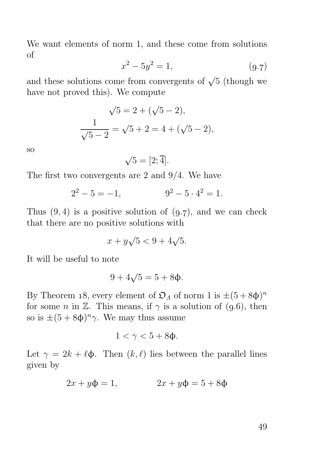We want elements of norm 1, and these come from solutions of

$$
x^2 - 5y^2 = 1,\t\t(9.7)
$$

and these solutions come from convergents of  $\sqrt{5}$  (though we have not proved this). We compute

$$
\sqrt{5} = 2 + (\sqrt{5} - 2),
$$
  

$$
\frac{1}{\sqrt{5} - 2} = \sqrt{5} + 2 = 4 + (\sqrt{5} - 2),
$$

so

 $\sqrt{5} = [2; \overline{4}].$ 

The first two convergents are 2 and 9/4. We have

$$
2^2 - 5 = -1, \qquad \qquad 9^2 - 5 \cdot 4^2 = 1.
$$

Thus  $(9, 4)$  is a positive solution of  $(9,7)$ , and we can check that there are no positive solutions with

$$
x + y\sqrt{5} < 9 + 4\sqrt{5}.
$$

It will be useful to note

$$
9+4\sqrt{5}=5+8\Phi.
$$

By Theorem 18, every element of  $\mathfrak{O}_A$  of norm 1 is  $\pm (5 + 8\phi)^n$ for some *n* in  $\mathbb{Z}$ . This means, if  $\gamma$  is a solution of (9.6), then so is  $\pm (5 + 8\phi)^n \gamma$ . We may thus assume

$$
1 < \gamma < 5 + 8\phi.
$$

Let  $\gamma = 2k + \ell \Phi$ . Then  $(k, \ell)$  lies between the parallel lines given by

$$
2x + y\Phi = 1, \qquad 2x + y\Phi = 5 + 8\Phi
$$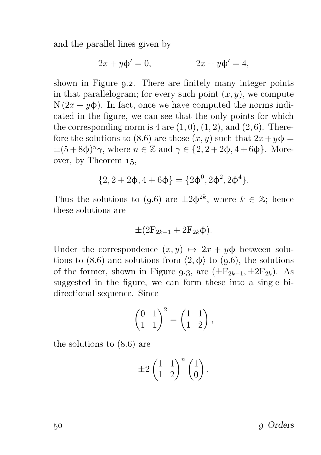and the parallel lines given by

$$
2x + y\Phi' = 0, \qquad 2x + y\Phi' = 4,
$$

shown in Figure 9.2. There are finitely many integer points in that parallelogram; for every such point  $(x, y)$ , we compute  $N(2x + y\phi)$ . In fact, once we have computed the norms indicated in the figure, we can see that the only points for which the corresponding norm is  $4$  are  $(1, 0)$ ,  $(1, 2)$ , and  $(2, 6)$ . Therefore the solutions to (8.6) are those  $(x, y)$  such that  $2x + y\phi =$  $\pm (5 + 8\phi)^n \gamma$ , where  $n \in \mathbb{Z}$  and  $\gamma \in \{2, 2 + 2\phi, 4 + 6\phi\}$ . Moreover, by Theorem  $15$ ,

$$
\{2,2+2\varphi,4+6\varphi\}=\{2\varphi^0,2\varphi^2,2\varphi^4\}.
$$

Thus the solutions to (9.6) are  $\pm 2\phi^{2k}$ , where  $k \in \mathbb{Z}$ ; hence these solutions are

$$
\pm(2F_{2k-1}+2F_{2k}\Phi).
$$

Under the correspondence  $(x, y) \mapsto 2x + y\phi$  between solutions to (8.6) and solutions from  $\langle 2, \phi \rangle$  to (9.6), the solutions of the former, shown in Figure 9.3, are  $(\pm F_{2k-1}, \pm 2F_{2k})$ . As suggested in the figure, we can form these into a single bidirectional sequence. Since

$$
\begin{pmatrix} 0 & 1 \\ 1 & 1 \end{pmatrix}^2 = \begin{pmatrix} 1 & 1 \\ 1 & 2 \end{pmatrix},
$$

the solutions to  $(8.6)$  are

$$
\pm 2\begin{pmatrix}1 & 1\\ 1 & 2\end{pmatrix}^n\begin{pmatrix}1\\ 0\end{pmatrix}.
$$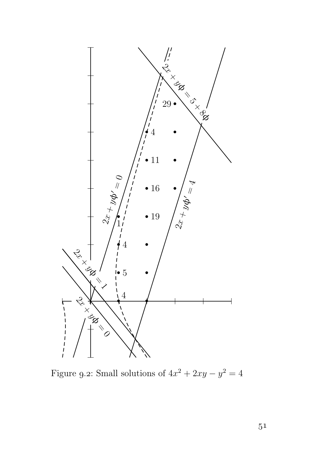

Figure 9.2: Small solutions of  $4x^2 + 2xy - y^2 = 4$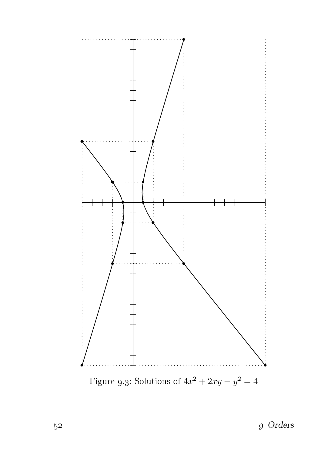

 $\,$  52  $\,$   $\,$  9  $\,$  Orders  $\,$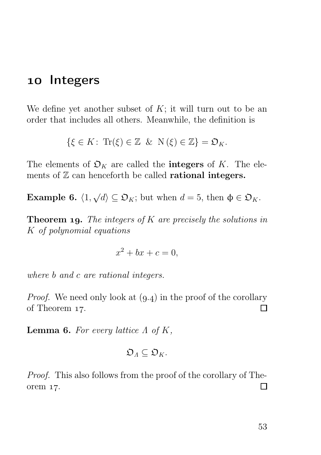### 10 Integers

We define yet another subset of  $K$ ; it will turn out to be an order that includes all others. Meanwhile, the definition is

$$
\{\xi \in K: \operatorname{Tr}(\xi) \in \mathbb{Z} \& N(\xi) \in \mathbb{Z}\} = \mathfrak{O}_K.
$$

The elements of  $\mathfrak{O}_K$  are called the **integers** of K. The elements of  $\mathbb Z$  can henceforth be called **rational integers.** 

**Example 6.**  $\langle 1, \sqrt{d} \rangle \subseteq \mathfrak{O}_K$ ; but when  $d = 5$ , then  $\phi \in \mathfrak{O}_K$ .

**Theorem 19.** The integers of K are precisely the solutions in K of polynomial equations

$$
x^2 + bx + c = 0,
$$

where b and c are rational integers.

*Proof.* We need only look at  $(9.4)$  in the proof of the corollary of Theorem 17. П

**Lemma 6.** For every lattice  $\Lambda$  of  $K$ ,

$$
\mathfrak{O}_\Lambda \subseteq \mathfrak{O}_K.
$$

Proof. This also follows from the proof of the corollary of The- $\Box$ orem 17.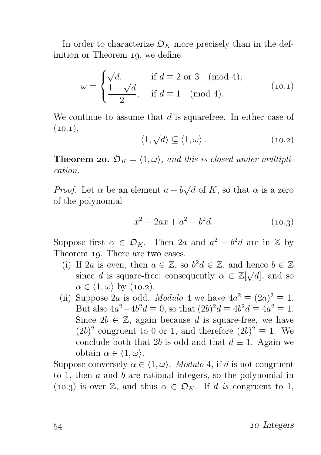In order to characterize  $\mathfrak{O}_K$  more precisely than in the definition or Theorem 19, we define

$$
\omega = \begin{cases}\n\sqrt{d}, & \text{if } d \equiv 2 \text{ or } 3 \pmod{4}; \\
\frac{1+\sqrt{d}}{2}, & \text{if } d \equiv 1 \pmod{4}.\n\end{cases}
$$
\n(10.1)

We continue to assume that  $d$  is squarefree. In either case of  $(10.1),$ 

$$
\langle 1, \sqrt{d} \rangle \subseteq \langle 1, \omega \rangle. \tag{10.2}
$$

**Theorem 20.**  $\mathfrak{O}_K = \langle 1, \omega \rangle$ , and this is closed under multiplication.

*Proof.* Let  $\alpha$  be an element  $a + b\sqrt{d}$  of K, so that  $\alpha$  is a zero of the polynomial

$$
x^2 - 2ax + a^2 - b^2d.\tag{10.3}
$$

Suppose first  $\alpha \in \mathfrak{O}_K$ . Then 2a and  $a^2 - b^2d$  are in  $\mathbb Z$  by Theorem 19. There are two cases.

- (i) If 2a is even, then  $a \in \mathbb{Z}$ , so  $b^2d \in \mathbb{Z}$ , and hence  $b \in \mathbb{Z}$ since d is square-free; consequently  $\alpha \in \mathbb{Z}[\sqrt{d}]$ , and so  $\alpha \in \langle 1, \omega \rangle$  by (10.2).
- (ii) Suppose 2a is odd. Modulo 4 we have  $4a^2 \equiv (2a)^2 \equiv 1$ . But also  $4a^2 - 4b^2 d \equiv 0$ , so that  $(2b)^2 d \equiv 4b^2 d \equiv 4a^2 \equiv 1$ . Since  $2b \in \mathbb{Z}$ , again because d is square-free, we have  $(2b)^2$  congruent to 0 or 1, and therefore  $(2b)^2 \equiv 1$ . We conclude both that 2b is odd and that  $d \equiv 1$ . Again we obtain  $\alpha \in \langle 1, \omega \rangle$ .

Suppose conversely  $\alpha \in \langle 1, \omega \rangle$ . *Modulo* 4, if d is not congruent to 1, then  $a$  and  $b$  are rational integers, so the polynomial in (10.3) is over Z, and thus  $\alpha \in \mathfrak{O}_K$ . If d is congruent to 1,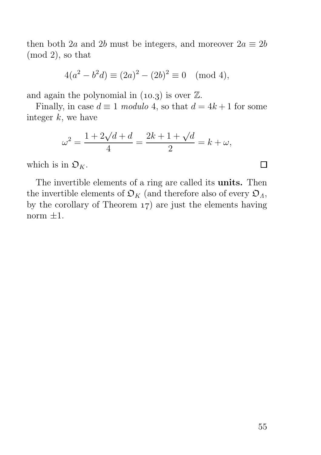then both 2a and 2b must be integers, and moreover  $2a \equiv 2b$ (mod 2), so that

$$
4(a2 - b2 d) \equiv (2a)2 - (2b)2 \equiv 0 \pmod{4},
$$

and again the polynomial in  $(10.3)$  is over  $\mathbb{Z}$ .

Finally, in case  $d \equiv 1 \text{ modulo } 4$ , so that  $d = 4k + 1$  for some integer  $k$ , we have

$$
\omega^2 = \frac{1 + 2\sqrt{d + d}}{4} = \frac{2k + 1 + \sqrt{d}}{2} = k + \omega,
$$

which is in  $\mathfrak{O}_K$ .

The invertible elements of a ring are called its units. Then the invertible elements of  $\mathfrak{O}_K$  (and therefore also of every  $\mathfrak{O}_A$ , by the corollary of Theorem  $17$ ) are just the elements having norm  $\pm 1$ .

 $\Box$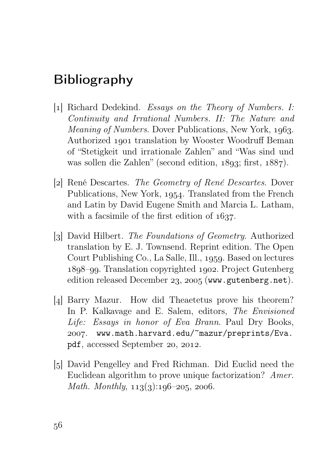# Bibliography

- [1] Richard Dedekind. Essays on the Theory of Numbers. I: Continuity and Irrational Numbers. II: The Nature and *Meaning of Numbers.* Dover Publications, New York, 1963. Authorized 1901 translation by Wooster Woodruff Beman of "Stetigkeit und irrationale Zahlen" and "Was sind und was sollen die Zahlen" (second edition,  $1893$ ; first,  $1887$ ).
- [2] René Descartes. The Geometry of René Descartes. Dover Publications, New York, 1954. Translated from the French and Latin by David Eugene Smith and Marcia L. Latham, with a facsimile of the first edition of  $1637$ .
- [3] David Hilbert. The Foundations of Geometry. Authorized translation by E. J. Townsend. Reprint edition. The Open Court Publishing Co., La Salle, Ill., 1959. Based on lectures –. Translation copyrighted . Project Gutenberg edition released December 23, 2005 (www.gutenberg.net).
- [4] Barry Mazur. How did Theaetetus prove his theorem? In P. Kalkavage and E. Salem, editors, The Envisioned Life: Essays in honor of Eva Brann. Paul Dry Books, . www.math.harvard.edu/~mazur/preprints/Eva. pdf, accessed September 20, 2012.
- [5] David Pengelley and Fred Richman. Did Euclid need the Euclidean algorithm to prove unique factorization? Amer. Math. Monthly,  $113(3):196-205$ , 2006.